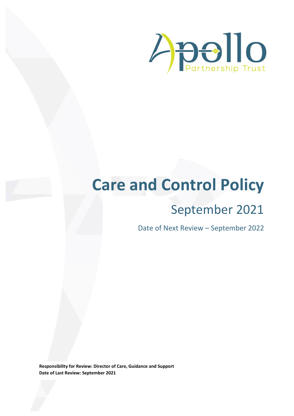

# **Care and Control Policy**

## September 2021

Date of Next Review – September 2022

**Responsibility for Review: Director of Care, Guidance and Support Date of Last Review: September 2021**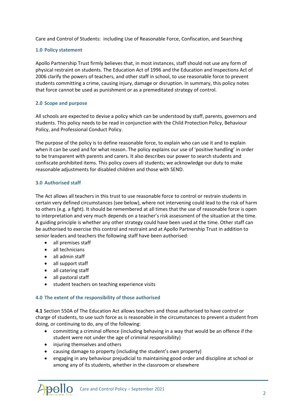Care and Control of Students: including Use of Reasonable Force, Confiscation, and Searching

#### **1.0 Policy statement**

Apollo Partnership Trust firmly believes that, in most instances, staff should not use any form of physical restraint on students. The Education Act of 1996 and the Education and Inspections Act of 2006 clarify the powers of teachers, and other staff in school, to use reasonable force to prevent students committing a crime, causing injury, damage or disruption. In summary, this policy notes that force cannot be used as punishment or as a premeditated strategy of control.

#### **2.0 Scope and purpose**

All schools are expected to devise a policy which can be understood by staff, parents, governors and students. This policy needs to be read in conjunction with the Child Protection Policy, Behaviour Policy, and Professional Conduct Policy.

The purpose of the policy is to define reasonable force, to explain who can use it and to explain when it can be used and for what reason. The policy explains our use of 'positive handling' in order to be transparent with parents and carers. It also describes our power to search students and confiscate prohibited items. This policy covers all students; we acknowledge our duty to make reasonable adjustments for disabled children and those with SEND.

#### **3.0 Authorised staff**

The Act allows all teachers in this trust to use reasonable force to control or restrain students in certain very defined circumstances (see below), where not intervening could lead to the risk of harm to others (e.g. a fight). It should be remembered at all times that the use of reasonable force is open to interpretation and very much depends on a teacher's risk assessment of the situation at the time. A guiding principle is whether any other strategy could have been used at the time. Other staff can be authorised to exercise this control and restraint and at Apollo Partnership Trust in addition to senior leaders and teachers the following staff have been authorised:

- all premises staff
- all technicians
- all admin staff
- all support staff
- all catering staff
- all pastoral staff
- student teachers on teaching experience visits

#### **4.0 The extent of the responsibility of those authorised**

**4.1** Section 550A of The Education Act allows teachers and those authorised to have control or charge of students, to use such force as is reasonable in the circumstances to prevent a student from doing, or continuing to do, any of the following:

- committing a criminal offence (including behaving in a way that would be an offence if the student were not under the age of criminal responsibility)
- injuring themselves and others
- causing damage to property (including the student's own property)
- engaging in any behaviour prejudicial to maintaining good order and discipline at school or among any of its students, whether in the classroom or elsewhere

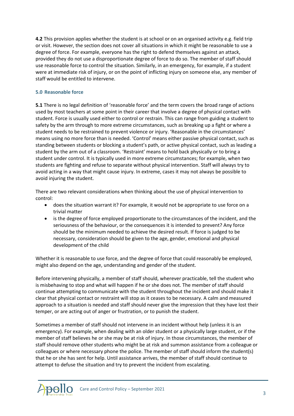**4.2** This provision applies whether the student is at school or on an organised activity e.g. field trip or visit. However, the section does not cover all situations in which it might be reasonable to use a degree of force. For example, everyone has the right to defend themselves against an attack, provided they do not use a disproportionate degree of force to do so. The member of staff should use reasonable force to control the situation. Similarly, in an emergency, for example, if a student were at immediate risk of injury, or on the point of inflicting injury on someone else, any member of staff would be entitled to intervene.

#### **5.0 Reasonable force**

**5.1** There is no legal definition of 'reasonable force' and the term covers the broad range of actions used by most teachers at some point in their career that involve a degree of physical contact with student. Force is usually used either to control or restrain. This can range from guiding a student to safety by the arm through to more extreme circumstances, such as breaking up a fight or where a student needs to be restrained to prevent violence or injury. 'Reasonable in the circumstances' means using no more force than is needed. 'Control' means either passive physical contact, such as standing between students or blocking a student's path, or active physical contact, such as leading a student by the arm out of a classroom. 'Restraint' means to hold back physically or to bring a student under control. It is typically used in more extreme circumstances; for example, when two students are fighting and refuse to separate without physical intervention. Staff will always try to avoid acting in a way that might cause injury. In extreme, cases it may not always be possible to avoid injuring the student.

There are two relevant considerations when thinking about the use of physical intervention to control:

- does the situation warrant it? For example, it would not be appropriate to use force on a trivial matter
- is the degree of force employed proportionate to the circumstances of the incident, and the seriousness of the behaviour, or the consequences it is intended to prevent? Any force should be the minimum needed to achieve the desired result. If force is judged to be necessary, consideration should be given to the age, gender, emotional and physical development of the child

Whether it is reasonable to use force, and the degree of force that could reasonably be employed, might also depend on the age, understanding and gender of the student.

Before intervening physically, a member of staff should, wherever practicable, tell the student who is misbehaving to stop and what will happen if he or she does not. The member of staff should continue attempting to communicate with the student throughout the incident and should make it clear that physical contact or restraint will stop as it ceases to be necessary. A calm and measured approach to a situation is needed and staff should never give the impression that they have lost their temper, or are acting out of anger or frustration, or to punish the student.

Sometimes a member of staff should not intervene in an incident without help (unless it is an emergency). For example, when dealing with an older student or a physically large student, or if the member of staff believes he or she may be at risk of injury. In those circumstances, the member of staff should remove other students who might be at risk and summon assistance from a colleague or colleagues or where necessary phone the police. The member of staff should inform the student(s) that he or she has sent for help. Until assistance arrives, the member of staff should continue to attempt to defuse the situation and try to prevent the incident from escalating.

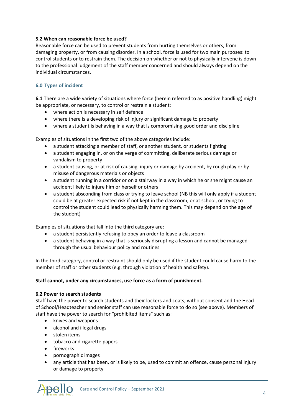#### **5.2 When can reasonable force be used?**

Reasonable force can be used to prevent students from hurting themselves or others, from damaging property, or from causing disorder. In a school, force is used for two main purposes: to control students or to restrain them. The decision on whether or not to physically intervene is down to the professional judgement of the staff member concerned and should always depend on the individual circumstances.

#### **6.0 Types of incident**

**6.1** There are a wide variety of situations where force (herein referred to as positive handling) might be appropriate, or necessary, to control or restrain a student:

- where action is necessary in self defence
- where there is a developing risk of injury or significant damage to property
- where a student is behaving in a way that is compromising good order and discipline

Examples of situations in the first two of the above categories include:

- a student attacking a member of staff, or another student, or students fighting
- a student engaging in, or on the verge of committing, deliberate serious damage or vandalism to property
- a student causing, or at risk of causing, injury or damage by accident, by rough play or by misuse of dangerous materials or objects
- a student running in a corridor or on a stairway in a way in which he or she might cause an accident likely to injure him or herself or others
- a student absconding from class or trying to leave school (NB this will only apply if a student could be at greater expected risk if not kept in the classroom, or at school, or trying to control the student could lead to physically harming them. This may depend on the age of the student)

Examples of situations that fall into the third category are:

- a student persistently refusing to obey an order to leave a classroom
- a student behaving in a way that is seriously disrupting a lesson and cannot be managed through the usual behaviour policy and routines

In the third category, control or restraint should only be used if the student could cause harm to the member of staff or other students (e.g. through violation of health and safety).

#### **Staff cannot, under any circumstances, use force as a form of punishment.**

#### **6.2 Power to search students**

Staff have the power to search students and their lockers and coats, without consent and the Head of School/Headteacher and senior staff can use reasonable force to do so (see above). Members of staff have the power to search for "prohibited items" such as:

- knives and weapons
- alcohol and illegal drugs
- stolen items
- tobacco and cigarette papers
- **•** fireworks
- pornographic images
- any article that has been, or is likely to be, used to commit an offence, cause personal injury or damage to property

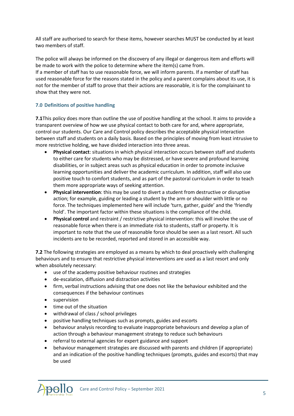All staff are authorised to search for these items, however searches MUST be conducted by at least two members of staff.

The police will always be informed on the discovery of any illegal or dangerous item and efforts will be made to work with the police to determine where the item(s) came from. If a member of staff has to use reasonable force, we will inform parents. If a member of staff has used reasonable force for the reasons stated in the policy and a parent complains about its use, it is not for the member of staff to prove that their actions are reasonable, it is for the complainant to show that they were not.

#### **7.0 Definitions of positive handling**

**7.1**This policy does more than outline the use of positive handling at the school. It aims to provide a transparent overview of how we use physical contact to both care for and, where appropriate, control our students. Our Care and Control policy describes the acceptable physical interaction between staff and students on a daily basis. Based on the principles of moving from least intrusive to more restrictive holding, we have divided interaction into three areas.

- **Physical contact**: situations in which physical interaction occurs between staff and students to either care for students who may be distressed, or have severe and profound learning disabilities, or in subject areas such as physical education in order to promote inclusive learning opportunities and deliver the academic curriculum. In addition, staff will also use positive touch to comfort students, and as part of the pastoral curriculum in order to teach them more appropriate ways of seeking attention.
- **Physical intervention**: this may be used to divert a student from destructive or disruptive action; for example, guiding or leading a student by the arm or shoulder with little or no force. The techniques implemented here will include 'turn, gather, guide' and the 'friendly hold'. The important factor within these situations is the compliance of the child.
- **Physical control** and restraint / restrictive physical intervention: this will involve the use of reasonable force when there is an immediate risk to students, staff or property. It is important to note that the use of reasonable force should be seen as a last resort. All such incidents are to be recorded, reported and stored in an accessible way.

**7.2** The following strategies are employed as a means by which to deal proactively with challenging behaviours and to ensure that restrictive physical interventions are used as a last resort and only when absolutely necessary:

- use of the academy positive behaviour routines and strategies
- de-escalation, diffusion and distraction activities
- firm, verbal instructions advising that one does not like the behaviour exhibited and the consequences if the behaviour continues
- **•** supervision
- time out of the situation
- withdrawal of class / school privileges
- positive handling techniques such as prompts, guides and escorts
- behaviour analysis recording to evaluate inappropriate behaviours and develop a plan of action through a behaviour management strategy to reduce such behaviours
- referral to external agencies for expert guidance and support
- behaviour management strategies are discussed with parents and children (if appropriate) and an indication of the positive handling techniques (prompts, guides and escorts) that may be used

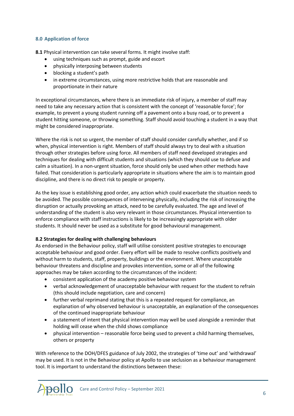#### **8.0 Application of force**

**8.1** Physical intervention can take several forms. It might involve staff:

- using techniques such as prompt, guide and escort
- physically interposing between students
- blocking a student's path
- in extreme circumstances, using more restrictive holds that are reasonable and proportionate in their nature

In exceptional circumstances, where there is an immediate risk of injury, a member of staff may need to take any necessary action that is consistent with the concept of 'reasonable force'; for example, to prevent a young student running off a pavement onto a busy road, or to prevent a student hitting someone, or throwing something. Staff should avoid touching a student in a way that might be considered inappropriate.

Where the risk is not so urgent, the member of staff should consider carefully whether, and if so when, physical intervention is right. Members of staff should always try to deal with a situation through other strategies before using force. All members of staff need developed strategies and techniques for dealing with difficult students and situations (which they should use to defuse and calm a situation). In a non-urgent situation, force should only be used when other methods have failed. That consideration is particularly appropriate in situations where the aim is to maintain good discipline, and there is no direct risk to people or property.

As the key issue is establishing good order, any action which could exacerbate the situation needs to be avoided. The possible consequences of intervening physically, including the risk of increasing the disruption or actually provoking an attack, need to be carefully evaluated. The age and level of understanding of the student is also very relevant in those circumstances. Physical intervention to enforce compliance with staff instructions is likely to be increasingly appropriate with older students. It should never be used as a substitute for good behavioural management.

#### **8.2 Strategies for dealing with challenging behaviours**

As endorsed in the Behaviour policy, staff will utilise consistent positive strategies to encourage acceptable behaviour and good order. Every effort will be made to resolve conflicts positively and without harm to students, staff, property, buildings or the environment. Where unacceptable behaviour threatens and discipline and provokes intervention, some or all of the following approaches may be taken according to the circumstances of the incident:

- consistent application of the academy positive behaviour system
- verbal acknowledgement of unacceptable behaviour with request for the student to refrain (this should include negotiation, care and concern)
- further verbal reprimand stating that this is a repeated request for compliance, an explanation of why observed behaviour is unacceptable, an explanation of the consequences of the continued inappropriate behaviour
- a statement of intent that physical intervention may well be used alongside a reminder that holding will cease when the child shows compliance
- physical intervention reasonable force being used to prevent a child harming themselves, others or property

With reference to the DOH/DFES guidance of July 2002, the strategies of 'time out' and 'withdrawal' may be used. It is not in the Behaviour policy at Apollo to use seclusion as a behaviour management tool. It is important to understand the distinctions between these:

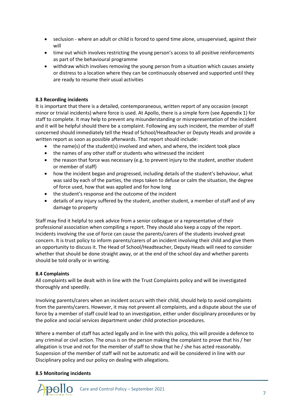- seclusion where an adult or child is forced to spend time alone, unsupervised, against their will
- time out which involves restricting the young person's access to all positive reinforcements as part of the behavioural programme
- withdraw which involves removing the young person from a situation which causes anxiety or distress to a location where they can be continuously observed and supported until they are ready to resume their usual activities

#### **8.3 Recording incidents**

It is important that there is a detailed, contemporaneous, written report of any occasion (except minor or trivial incidents) where force is used. At Apollo, there is a simple form (see Appendix 1) for staff to complete. It may help to prevent any misunderstanding or misrepresentation of the incident and it will be helpful should there be a complaint. Following any such incident, the member of staff concerned should immediately tell the Head of School/Headteacher or Deputy Heads and provide a written report as soon as possible afterwards. That report should include:

- the name(s) of the student(s) involved and when, and where, the incident took place
- the names of any other staff or students who witnessed the incident
- the reason that force was necessary (e.g. to prevent injury to the student, another student or member of staff)
- how the incident began and progressed, including details of the student's behaviour, what was said by each of the parties, the steps taken to defuse or calm the situation, the degree of force used, how that was applied and for how long
- the student's response and the outcome of the incident
- details of any injury suffered by the student, another student, a member of staff and of any damage to property

Staff may find it helpful to seek advice from a senior colleague or a representative of their professional association when compiling a report. They should also keep a copy of the report. Incidents involving the use of force can cause the parents/carers of the students involved great concern. It is trust policy to inform parents/carers of an incident involving their child and give them an opportunity to discuss it. The Head of School/Headteacher, Deputy Heads will need to consider whether that should be done straight away, or at the end of the school day and whether parents should be told orally or in writing.

#### **8.4 Complaints**

All complaints will be dealt with in line with the Trust Complaints policy and will be investigated thoroughly and speedily.

Involving parents/carers when an incident occurs with their child, should help to avoid complaints from the parents/carers. However, it may not prevent all complaints, and a dispute about the use of force by a member of staff could lead to an investigation, either under disciplinary procedures or by the police and social services department under child protection procedures.

Where a member of staff has acted legally and in line with this policy, this will provide a defence to any criminal or civil action. The onus is on the person making the complaint to prove that his / her allegation is true and not for the member of staff to show that he / she has acted reasonably. Suspension of the member of staff will not be automatic and will be considered in line with our Disciplinary policy and our policy on dealing with allegations.

#### **8.5 Monitoring incidents**

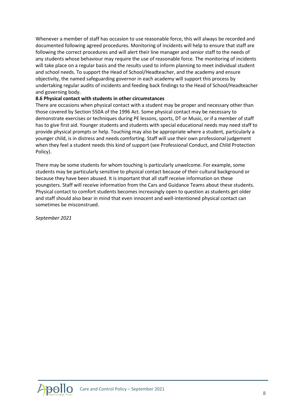Whenever a member of staff has occasion to use reasonable force, this will always be recorded and documented following agreed procedures. Monitoring of incidents will help to ensure that staff are following the correct procedures and will alert their line manager and senior staff to the needs of any students whose behaviour may require the use of reasonable force. The monitoring of incidents will take place on a regular basis and the results used to inform planning to meet individual student and school needs. To support the Head of School/Headteacher, and the academy and ensure objectivity, the named safeguarding governor in each academy will support this process by undertaking regular audits of incidents and feeding back findings to the Head of School/Headteacher and governing body.

#### **8.6 Physical contact with students in other circumstances**

There are occasions when physical contact with a student may be proper and necessary other than those covered by Section 550A of the 1996 Act. Some physical contact may be necessary to demonstrate exercises or techniques during PE lessons, sports, DT or Music, or if a member of staff has to give first aid. Younger students and students with special educational needs may need staff to provide physical prompts or help. Touching may also be appropriate where a student, particularly a younger child, is in distress and needs comforting. Staff will use their own professional judgement when they feel a student needs this kind of support (see Professional Conduct, and Child Protection Policy).

There may be some students for whom touching is particularly unwelcome. For example, some students may be particularly sensitive to physical contact because of their cultural background or because they have been abused. It is important that all staff receive information on these youngsters. Staff will receive information from the Cars and Guidance Teams about these students. Physical contact to comfort students becomes increasingly open to question as students get older and staff should also bear in mind that even innocent and well-intentioned physical contact can sometimes be misconstrued.

*September 2021*